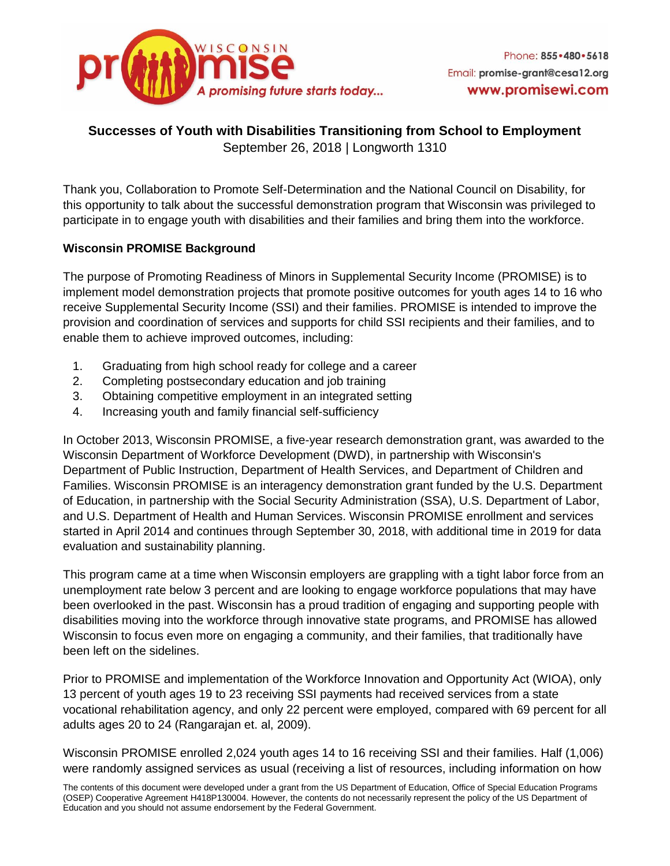

# **Successes of Youth with Disabilities Transitioning from School to Employment** September 26, 2018 | Longworth 1310

Thank you, Collaboration to Promote Self-Determination and the National Council on Disability, for this opportunity to talk about the successful demonstration program that Wisconsin was privileged to participate in to engage youth with disabilities and their families and bring them into the workforce.

# **Wisconsin PROMISE Background**

The purpose of Promoting Readiness of Minors in Supplemental Security Income (PROMISE) is to implement model demonstration projects that promote positive outcomes for youth ages 14 to 16 who receive Supplemental Security Income (SSI) and their families. PROMISE is intended to improve the provision and coordination of services and supports for child SSI recipients and their families, and to enable them to achieve improved outcomes, including:

- 1. Graduating from high school ready for college and a career
- 2. Completing postsecondary education and job training
- 3. Obtaining competitive employment in an integrated setting
- 4. Increasing youth and family financial self-sufficiency

In October 2013, Wisconsin PROMISE, a five-year research demonstration grant, was awarded to the Wisconsin Department of Workforce Development (DWD), in partnership with Wisconsin's Department of Public Instruction, Department of Health Services, and Department of Children and Families. Wisconsin PROMISE is an interagency demonstration grant funded by the U.S. Department of Education, in partnership with the Social Security Administration (SSA), U.S. Department of Labor, and U.S. Department of Health and Human Services. Wisconsin PROMISE enrollment and services started in April 2014 and continues through September 30, 2018, with additional time in 2019 for data evaluation and sustainability planning.

This program came at a time when Wisconsin employers are grappling with a tight labor force from an unemployment rate below 3 percent and are looking to engage workforce populations that may have been overlooked in the past. Wisconsin has a proud tradition of engaging and supporting people with disabilities moving into the workforce through innovative state programs, and PROMISE has allowed Wisconsin to focus even more on engaging a community, and their families, that traditionally have been left on the sidelines.

Prior to PROMISE and implementation of the Workforce Innovation and Opportunity Act (WIOA), only 13 percent of youth ages 19 to 23 receiving SSI payments had received services from a state vocational rehabilitation agency, and only 22 percent were employed, compared with 69 percent for all adults ages 20 to 24 (Rangarajan et. al, 2009).

Wisconsin PROMISE enrolled 2,024 youth ages 14 to 16 receiving SSI and their families. Half (1,006) were randomly assigned services as usual (receiving a list of resources, including information on how

The contents of this document were developed under a grant from the US Department of Education, Office of Special Education Programs (OSEP) Cooperative Agreement H418P130004. However, the contents do not necessarily represent the policy of the US Department of Education and you should not assume endorsement by the Federal Government.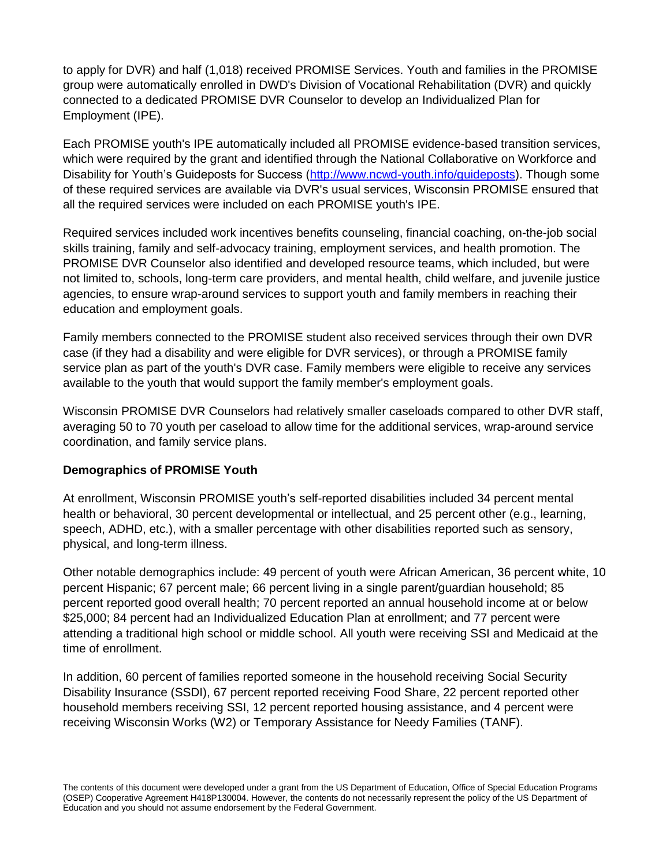to apply for DVR) and half (1,018) received PROMISE Services. Youth and families in the PROMISE group were automatically enrolled in DWD's Division of Vocational Rehabilitation (DVR) and quickly connected to a dedicated PROMISE DVR Counselor to develop an Individualized Plan for Employment (IPE).

Each PROMISE youth's IPE automatically included all PROMISE evidence-based transition services, which were required by the grant and identified through the National Collaborative on Workforce and Disability for Youth's Guideposts for Success [\(http://www.ncwd-youth.info/guideposts\)](http://www.ncwd-youth.info/guideposts). Though some of these required services are available via DVR's usual services, Wisconsin PROMISE ensured that all the required services were included on each PROMISE youth's IPE.

Required services included work incentives benefits counseling, financial coaching, on-the-job social skills training, family and self-advocacy training, employment services, and health promotion. The PROMISE DVR Counselor also identified and developed resource teams, which included, but were not limited to, schools, long-term care providers, and mental health, child welfare, and juvenile justice agencies, to ensure wrap-around services to support youth and family members in reaching their education and employment goals.

Family members connected to the PROMISE student also received services through their own DVR case (if they had a disability and were eligible for DVR services), or through a PROMISE family service plan as part of the youth's DVR case. Family members were eligible to receive any services available to the youth that would support the family member's employment goals.

Wisconsin PROMISE DVR Counselors had relatively smaller caseloads compared to other DVR staff, averaging 50 to 70 youth per caseload to allow time for the additional services, wrap-around service coordination, and family service plans.

### **Demographics of PROMISE Youth**

At enrollment, Wisconsin PROMISE youth's self-reported disabilities included 34 percent mental health or behavioral, 30 percent developmental or intellectual, and 25 percent other (e.g., learning, speech, ADHD, etc.), with a smaller percentage with other disabilities reported such as sensory, physical, and long-term illness.

Other notable demographics include: 49 percent of youth were African American, 36 percent white, 10 percent Hispanic; 67 percent male; 66 percent living in a single parent/guardian household; 85 percent reported good overall health; 70 percent reported an annual household income at or below \$25,000; 84 percent had an Individualized Education Plan at enrollment; and 77 percent were attending a traditional high school or middle school. All youth were receiving SSI and Medicaid at the time of enrollment.

In addition, 60 percent of families reported someone in the household receiving Social Security Disability Insurance (SSDI), 67 percent reported receiving Food Share, 22 percent reported other household members receiving SSI, 12 percent reported housing assistance, and 4 percent were receiving Wisconsin Works (W2) or Temporary Assistance for Needy Families (TANF).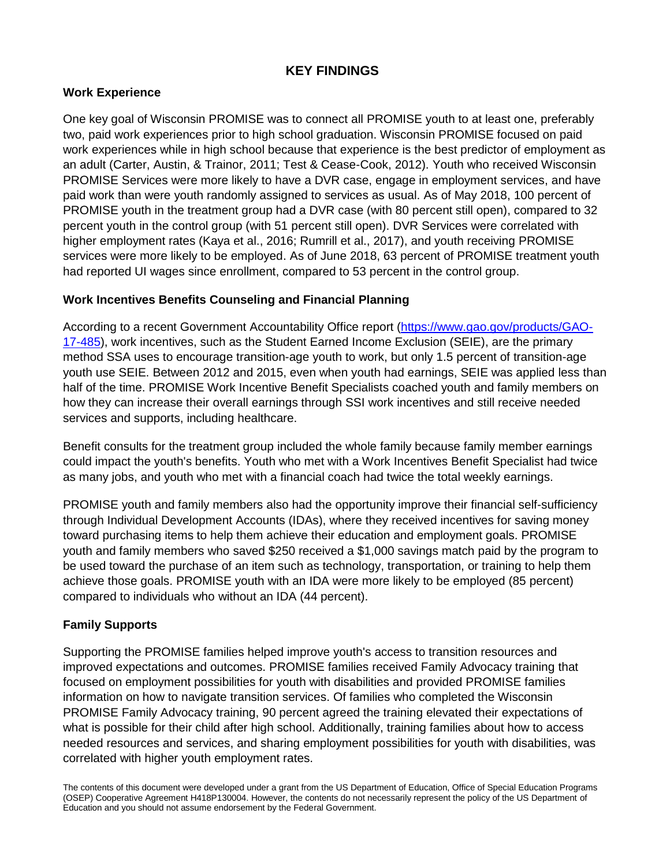# **KEY FINDINGS**

# **Work Experience**

One key goal of Wisconsin PROMISE was to connect all PROMISE youth to at least one, preferably two, paid work experiences prior to high school graduation. Wisconsin PROMISE focused on paid work experiences while in high school because that experience is the best predictor of employment as an adult (Carter, Austin, & Trainor, 2011; Test & Cease-Cook, 2012). Youth who received Wisconsin PROMISE Services were more likely to have a DVR case, engage in employment services, and have paid work than were youth randomly assigned to services as usual. As of May 2018, 100 percent of PROMISE youth in the treatment group had a DVR case (with 80 percent still open), compared to 32 percent youth in the control group (with 51 percent still open). DVR Services were correlated with higher employment rates (Kaya et al., 2016; Rumrill et al., 2017), and youth receiving PROMISE services were more likely to be employed. As of June 2018, 63 percent of PROMISE treatment youth had reported UI wages since enrollment, compared to 53 percent in the control group.

### **Work Incentives Benefits Counseling and Financial Planning**

According to a recent Government Accountability Office report [\(https://www.gao.gov/products/GAO-](https://www.gao.gov/products/GAO-17-485)[17-485\)](https://www.gao.gov/products/GAO-17-485), work incentives, such as the Student Earned Income Exclusion (SEIE), are the primary method SSA uses to encourage transition-age youth to work, but only 1.5 percent of transition-age youth use SEIE. Between 2012 and 2015, even when youth had earnings, SEIE was applied less than half of the time. PROMISE Work Incentive Benefit Specialists coached youth and family members on how they can increase their overall earnings through SSI work incentives and still receive needed services and supports, including healthcare.

Benefit consults for the treatment group included the whole family because family member earnings could impact the youth's benefits. Youth who met with a Work Incentives Benefit Specialist had twice as many jobs, and youth who met with a financial coach had twice the total weekly earnings.

PROMISE youth and family members also had the opportunity improve their financial self-sufficiency through Individual Development Accounts (IDAs), where they received incentives for saving money toward purchasing items to help them achieve their education and employment goals. PROMISE youth and family members who saved \$250 received a \$1,000 savings match paid by the program to be used toward the purchase of an item such as technology, transportation, or training to help them achieve those goals. PROMISE youth with an IDA were more likely to be employed (85 percent) compared to individuals who without an IDA (44 percent).

### **Family Supports**

Supporting the PROMISE families helped improve youth's access to transition resources and improved expectations and outcomes. PROMISE families received Family Advocacy training that focused on employment possibilities for youth with disabilities and provided PROMISE families information on how to navigate transition services. Of families who completed the Wisconsin PROMISE Family Advocacy training, 90 percent agreed the training elevated their expectations of what is possible for their child after high school. Additionally, training families about how to access needed resources and services, and sharing employment possibilities for youth with disabilities, was correlated with higher youth employment rates.

The contents of this document were developed under a grant from the US Department of Education, Office of Special Education Programs (OSEP) Cooperative Agreement H418P130004. However, the contents do not necessarily represent the policy of the US Department of Education and you should not assume endorsement by the Federal Government.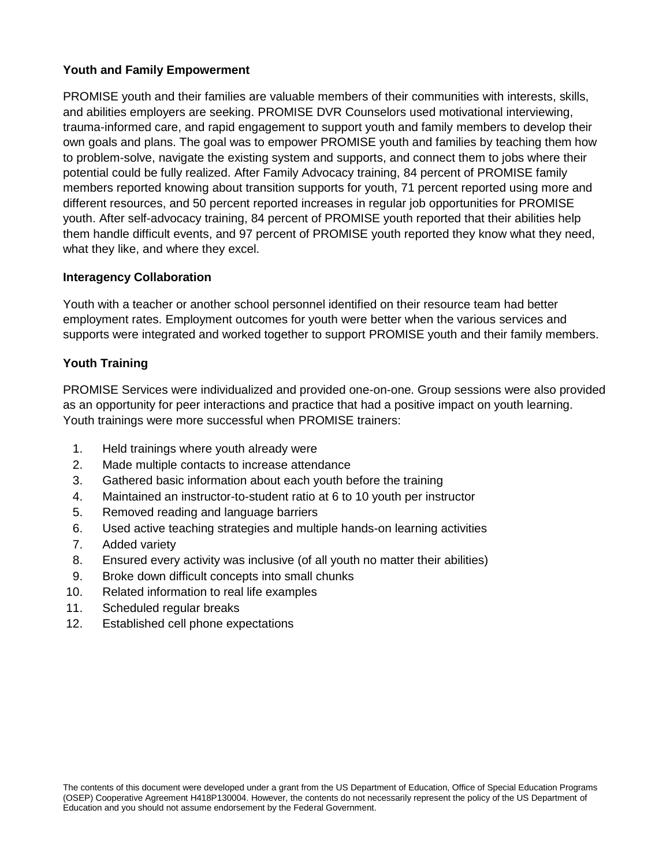### **Youth and Family Empowerment**

PROMISE youth and their families are valuable members of their communities with interests, skills, and abilities employers are seeking. PROMISE DVR Counselors used motivational interviewing, trauma-informed care, and rapid engagement to support youth and family members to develop their own goals and plans. The goal was to empower PROMISE youth and families by teaching them how to problem-solve, navigate the existing system and supports, and connect them to jobs where their potential could be fully realized. After Family Advocacy training, 84 percent of PROMISE family members reported knowing about transition supports for youth, 71 percent reported using more and different resources, and 50 percent reported increases in regular job opportunities for PROMISE youth. After self-advocacy training, 84 percent of PROMISE youth reported that their abilities help them handle difficult events, and 97 percent of PROMISE youth reported they know what they need, what they like, and where they excel.

### **Interagency Collaboration**

Youth with a teacher or another school personnel identified on their resource team had better employment rates. Employment outcomes for youth were better when the various services and supports were integrated and worked together to support PROMISE youth and their family members.

# **Youth Training**

PROMISE Services were individualized and provided one-on-one. Group sessions were also provided as an opportunity for peer interactions and practice that had a positive impact on youth learning. Youth trainings were more successful when PROMISE trainers:

- 1. Held trainings where youth already were
- 2. Made multiple contacts to increase attendance
- 3. Gathered basic information about each youth before the training
- 4. Maintained an instructor-to-student ratio at 6 to 10 youth per instructor
- 5. Removed reading and language barriers
- 6. Used active teaching strategies and multiple hands-on learning activities
- 7. Added variety
- 8. Ensured every activity was inclusive (of all youth no matter their abilities)
- 9. Broke down difficult concepts into small chunks
- 10. Related information to real life examples
- 11. Scheduled regular breaks
- 12. Established cell phone expectations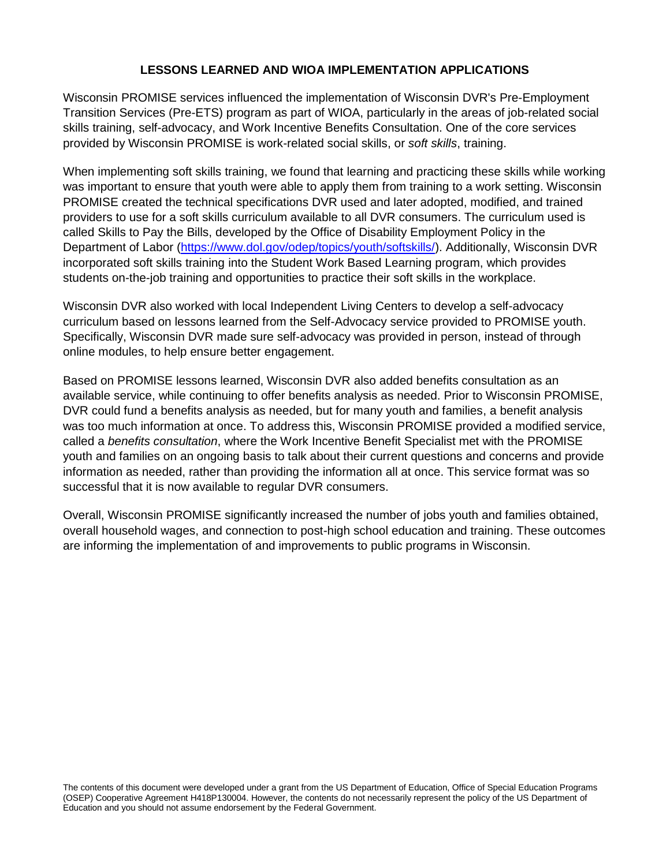### **LESSONS LEARNED AND WIOA IMPLEMENTATION APPLICATIONS**

Wisconsin PROMISE services influenced the implementation of Wisconsin DVR's Pre-Employment Transition Services (Pre-ETS) program as part of WIOA, particularly in the areas of job-related social skills training, self-advocacy, and Work Incentive Benefits Consultation. One of the core services provided by Wisconsin PROMISE is work-related social skills, or *soft skills*, training.

When implementing soft skills training, we found that learning and practicing these skills while working was important to ensure that youth were able to apply them from training to a work setting. Wisconsin PROMISE created the technical specifications DVR used and later adopted, modified, and trained providers to use for a soft skills curriculum available to all DVR consumers. The curriculum used is called Skills to Pay the Bills, developed by the Office of Disability Employment Policy in the Department of Labor [\(https://www.dol.gov/odep/topics/youth/softskills/\)](https://www.dol.gov/odep/topics/youth/softskills/). Additionally, Wisconsin DVR incorporated soft skills training into the Student Work Based Learning program, which provides students on-the-job training and opportunities to practice their soft skills in the workplace.

Wisconsin DVR also worked with local Independent Living Centers to develop a self-advocacy curriculum based on lessons learned from the Self-Advocacy service provided to PROMISE youth. Specifically, Wisconsin DVR made sure self-advocacy was provided in person, instead of through online modules, to help ensure better engagement.

Based on PROMISE lessons learned, Wisconsin DVR also added benefits consultation as an available service, while continuing to offer benefits analysis as needed. Prior to Wisconsin PROMISE, DVR could fund a benefits analysis as needed, but for many youth and families, a benefit analysis was too much information at once. To address this, Wisconsin PROMISE provided a modified service, called a *benefits consultation*, where the Work Incentive Benefit Specialist met with the PROMISE youth and families on an ongoing basis to talk about their current questions and concerns and provide information as needed, rather than providing the information all at once. This service format was so successful that it is now available to regular DVR consumers.

Overall, Wisconsin PROMISE significantly increased the number of jobs youth and families obtained, overall household wages, and connection to post-high school education and training. These outcomes are informing the implementation of and improvements to public programs in Wisconsin.